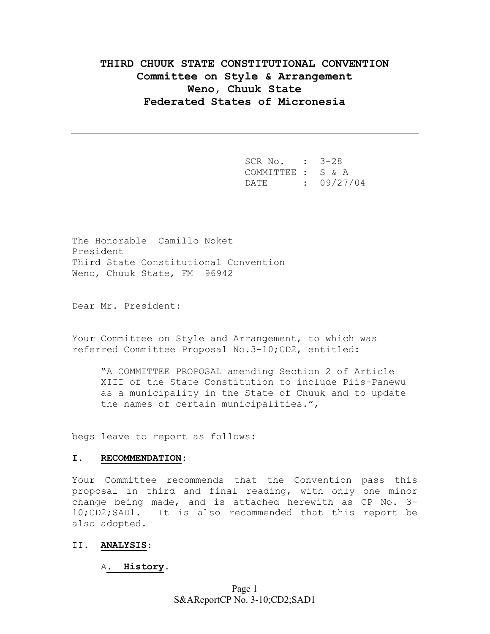# **THIRD CHUUK STATE CONSTITUTIONAL CONVENTION Committee on Style & Arrangement Weno, Chuuk State Federated States of Micronesia**

 SCR No. : 3-28 COMMITTEE : S & A DATE : 09/27/04

The Honorable Camillo Noket President Third State Constitutional Convention Weno, Chuuk State, FM 96942

Dear Mr. President:

Your Committee on Style and Arrangement, to which was referred Committee Proposal No.3-10;CD2, entitled:

"A COMMITTEE PROPOSAL amending Section 2 of Article XIII of the State Constitution to include Piis-Panewu as a municipality in the State of Chuuk and to update the names of certain municipalities.",

begs leave to report as follows:

#### **I. RECOMMENDATION:**

Your Committee recommends that the Convention pass this proposal in third and final reading, with only one minor change being made, and is attached herewith as CP No. 3- 10;CD2;SAD1. It is also recommended that this report be also adopted.

### II. **ANALYSIS**:

#### A**. History**.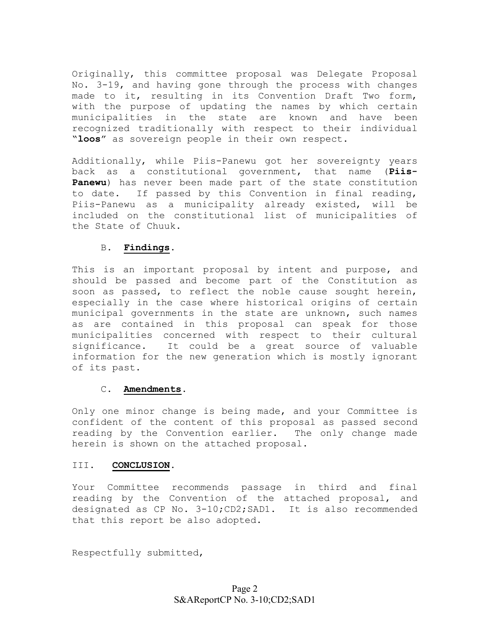Originally, this committee proposal was Delegate Proposal No. 3-19, and having gone through the process with changes made to it, resulting in its Convention Draft Two form, with the purpose of updating the names by which certain municipalities in the state are known and have been recognized traditionally with respect to their individual "**loos**" as sovereign people in their own respect.

Additionally, while Piis-Panewu got her sovereignty years back as a constitutional government, that name (**Piis-Panewu**) has never been made part of the state constitution to date. If passed by this Convention in final reading, Piis-Panewu as a municipality already existed, will be included on the constitutional list of municipalities of the State of Chuuk.

## B. **Findings**.

This is an important proposal by intent and purpose, and should be passed and become part of the Constitution as soon as passed, to reflect the noble cause sought herein, especially in the case where historical origins of certain municipal governments in the state are unknown, such names as are contained in this proposal can speak for those municipalities concerned with respect to their cultural significance. It could be a great source of valuable information for the new generation which is mostly ignorant of its past.

#### C. **Amendments**.

Only one minor change is being made, and your Committee is confident of the content of this proposal as passed second reading by the Convention earlier. The only change made herein is shown on the attached proposal.

## III. **CONCLUSION**.

Your Committee recommends passage in third and final reading by the Convention of the attached proposal, and designated as CP No. 3-10;CD2;SAD1. It is also recommended that this report be also adopted.

Respectfully submitted,